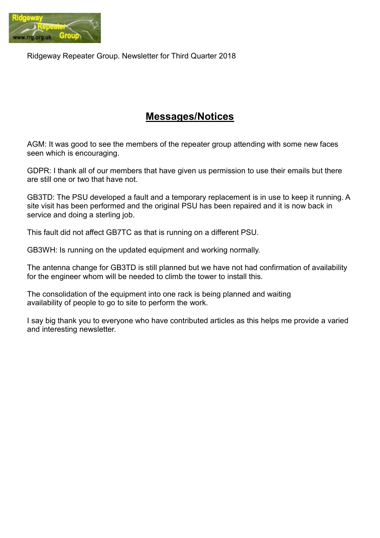

Ridgeway Repeater Group. Newsletter for Third Quarter 2018

## Messages/Notices

AGM: It was good to see the members of the repeater group attending with some new faces seen which is encouraging.

GDPR: I thank all of our members that have given us permission to use their emails but there are still one or two that have not.

GB3TD: The PSU developed a fault and a temporary replacement is in use to keep it running. A site visit has been performed and the original PSU has been repaired and it is now back in service and doing a sterling job.

This fault did not affect GB7TC as that is running on a different PSU.

GB3WH: Is running on the updated equipment and working normally.

The antenna change for GB3TD is still planned but we have not had confirmation of availability for the engineer whom will be needed to climb the tower to install this.

The consolidation of the equipment into one rack is being planned and waiting availability of people to go to site to perform the work.

I say big thank you to everyone who have contributed articles as this helps me provide a varied and interesting newsletter.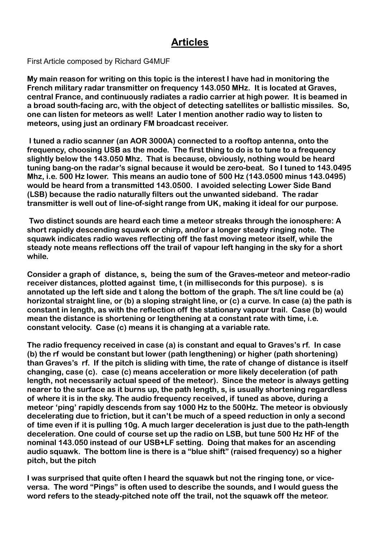### Articles

First Article composed by Richard G4MUF

My main reason for writing on this topic is the interest I have had in monitoring the French military radar transmitter on frequency 143.050 MHz. It is located at Graves, central France, and continuously radiates a radio carrier at high power. It is beamed in a broad south-facing arc, with the object of detecting satellites or ballistic missiles. So, one can listen for meteors as well! Later I mention another radio way to listen to meteors, using just an ordinary FM broadcast receiver.

 I tuned a radio scanner (an AOR 3000A) connected to a rooftop antenna, onto the frequency, choosing USB as the mode. The first thing to do is to tune to a frequency slightly below the 143.050 Mhz. That is because, obviously, nothing would be heard tuning bang-on the radar's signal because it would be zero-beat. So I tuned to 143.0495 Mhz, i.e. 500 Hz lower. This means an audio tone of 500 Hz (143.0500 minus 143.0495) would be heard from a transmitted 143.0500. I avoided selecting Lower Side Band (LSB) because the radio naturally filters out the unwanted sideband. The radar transmitter is well out of line-of-sight range from UK, making it ideal for our purpose.

 Two distinct sounds are heard each time a meteor streaks through the ionosphere: A short rapidly descending squawk or chirp, and/or a longer steady ringing note. The squawk indicates radio waves reflecting off the fast moving meteor itself, while the steady note means reflections off the trail of vapour left hanging in the sky for a short while.

Consider a graph of distance, s, being the sum of the Graves-meteor and meteor-radio receiver distances, plotted against time, t (in milliseconds for this purpose). s is annotated up the left side and t along the bottom of the graph. The s/t line could be (a) horizontal straight line, or (b) a sloping straight line, or (c) a curve. In case (a) the path is constant in length, as with the reflection off the stationary vapour trail. Case (b) would mean the distance is shortening or lengthening at a constant rate with time, i.e. constant velocity. Case (c) means it is changing at a variable rate.

The radio frequency received in case (a) is constant and equal to Graves's rf. In case (b) the rf would be constant but lower (path lengthening) or higher (path shortening) than Graves's rf. If the pitch is sliding with time, the rate of change of distance is itself changing, case (c). case (c) means acceleration or more likely deceleration (of path length, not necessarily actual speed of the meteor). Since the meteor is always getting nearer to the surface as it burns up, the path length, s, is usually shortening regardless of where it is in the sky. The audio frequency received, if tuned as above, during a meteor 'ping' rapidly descends from say 1000 Hz to the 500Hz. The meteor is obviously decelerating due to friction, but it can't be much of a speed reduction in only a second of time even if it is pulling 10g. A much larger deceleration is just due to the path-length deceleration. One could of course set up the radio on LSB, but tune 500 Hz HF of the nominal 143.050 instead of our USB+LF setting. Doing that makes for an ascending audio squawk. The bottom line is there is a "blue shift" (raised frequency) so a higher pitch, but the pitch

I was surprised that quite often I heard the squawk but not the ringing tone, or viceversa. The word "Pings" is often used to describe the sounds, and I would guess the word refers to the steady-pitched note off the trail, not the squawk off the meteor.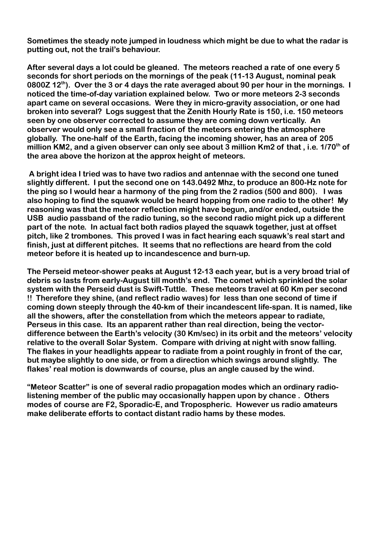Sometimes the steady note jumped in loudness which might be due to what the radar is putting out, not the trail's behaviour.

After several days a lot could be gleaned. The meteors reached a rate of one every 5 seconds for short periods on the mornings of the peak (11-13 August, nominal peak 0800Z 12<sup>th</sup>). Over the 3 or 4 days the rate averaged about 90 per hour in the mornings. I noticed the time-of-day variation explained below. Two or more meteors 2-3 seconds apart came on several occasions. Were they in micro-gravity association, or one had broken into several? Logs suggest that the Zenith Hourly Rate is 150, i.e. 150 meteors seen by one observer corrected to assume they are coming down vertically. An observer would only see a small fraction of the meteors entering the atmosphere globally. The one-half of the Earth, facing the incoming shower, has an area of 205 million KM2, and a given observer can only see about 3 million Km2 of that, i.e.  $1/70<sup>th</sup>$  of the area above the horizon at the approx height of meteors.

 A bright idea I tried was to have two radios and antennae with the second one tuned slightly different. I put the second one on 143.0492 Mhz, to produce an 800-Hz note for the ping so I would hear a harmony of the ping from the 2 radios (500 and 800). I was also hoping to find the squawk would be heard hopping from one radio to the other! My reasoning was that the meteor reflection might have begun, and/or ended, outside the USB audio passband of the radio tuning, so the second radio might pick up a different part of the note. In actual fact both radios played the squawk together, just at offset pitch, like 2 trombones. This proved I was in fact hearing each squawk's real start and finish, just at different pitches. It seems that no reflections are heard from the cold meteor before it is heated up to incandescence and burn-up.

The Perseid meteor-shower peaks at August 12-13 each year, but is a very broad trial of debris so lasts from early-August till month's end. The comet which sprinkled the solar system with the Perseid dust is Swift-Tuttle. These meteors travel at 60 Km per second !! Therefore they shine, (and reflect radio waves) for less than one second of time if coming down steeply through the 40-km of their incandescent life-span. It is named, like all the showers, after the constellation from which the meteors appear to radiate, Perseus in this case. Its an apparent rather than real direction, being the vectordifference between the Earth's velocity (30 Km/sec) in its orbit and the meteors' velocity relative to the overall Solar System. Compare with driving at night with snow falling. The flakes in your headlights appear to radiate from a point roughly in front of the car, but maybe slightly to one side, or from a direction which swings around slightly. The flakes' real motion is downwards of course, plus an angle caused by the wind.

"Meteor Scatter" is one of several radio propagation modes which an ordinary radiolistening member of the public may occasionally happen upon by chance . Others modes of course are F2, Sporadic-E, and Tropospheric. However us radio amateurs make deliberate efforts to contact distant radio hams by these modes.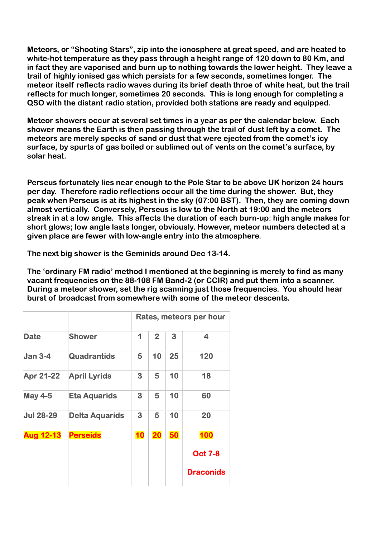Meteors, or "Shooting Stars", zip into the ionosphere at great speed, and are heated to white-hot temperature as they pass through a height range of 120 down to 80 Km, and in fact they are vaporised and burn up to nothing towards the lower height. They leave a trail of highly ionised gas which persists for a few seconds, sometimes longer. The meteor itself reflects radio waves during its brief death throe of white heat, but the trail reflects for much longer, sometimes 20 seconds. This is long enough for completing a QSO with the distant radio station, provided both stations are ready and equipped.

Meteor showers occur at several set times in a year as per the calendar below. Each shower means the Earth is then passing through the trail of dust left by a comet. The meteors are merely specks of sand or dust that were ejected from the comet's icy surface, by spurts of gas boiled or sublimed out of vents on the comet's surface, by solar heat.

Perseus fortunately lies near enough to the Pole Star to be above UK horizon 24 hours per day. Therefore radio reflections occur all the time during the shower. But, they peak when Perseus is at its highest in the sky (07:00 BST). Then, they are coming down almost vertically. Conversely, Perseus is low to the North at 19:00 and the meteors streak in at a low angle. This affects the duration of each burn-up: high angle makes for short glows; low angle lasts longer, obviously. However, meteor numbers detected at a given place are fewer with low-angle entry into the atmosphere.

The next big shower is the Geminids around Dec 13-14.

The 'ordinary FM radio' method I mentioned at the beginning is merely to find as many vacant frequencies on the 88-108 FM Band-2 (or CCIR) and put them into a scanner. During a meteor shower, set the rig scanning just those frequencies. You should hear burst of broadcast from somewhere with some of the meteor descents.

|                  |                       | Rates, meteors per hour |                |    |                  |
|------------------|-----------------------|-------------------------|----------------|----|------------------|
| <b>Date</b>      | <b>Shower</b>         | 1                       | $\overline{2}$ | 3  | 4                |
| <b>Jan 3-4</b>   | <b>Quadrantids</b>    | 5                       | 10             | 25 | 120              |
| <b>Apr 21-22</b> | <b>April Lyrids</b>   | 3                       | 5              | 10 | 18               |
| <b>May 4-5</b>   | <b>Eta Aquarids</b>   | 3                       | 5              | 10 | 60               |
| <b>Jul 28-29</b> | <b>Delta Aquarids</b> | 3                       | 5              | 10 | 20               |
| <b>Aug 12-13</b> | <b>Perseids</b>       | 10                      | <b>20</b>      | 50 | <b>100</b>       |
|                  |                       |                         |                |    | <b>Oct 7-8</b>   |
|                  |                       |                         |                |    | <b>Draconids</b> |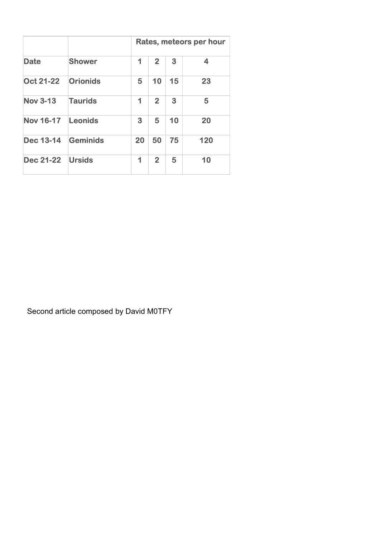| <b>Date</b>      | <b>Shower</b>   | Rates, meteors per hour |                |    |     |
|------------------|-----------------|-------------------------|----------------|----|-----|
|                  |                 | 1                       | $\overline{2}$ | 3  | 4   |
| <b>Oct 21-22</b> | <b>Orionids</b> | 5                       | 10             | 15 | 23  |
| <b>Nov 3-13</b>  | <b>Taurids</b>  | 1                       | $\overline{2}$ | 3  | 5   |
| <b>Nov 16-17</b> | Leonids         | 3                       | 5              | 10 | 20  |
| <b>Dec 13-14</b> | Geminids        | 20                      | 50             | 75 | 120 |
| <b>Dec 21-22</b> | <b>Ursids</b>   | 1                       | $\overline{2}$ | 5  | 10  |

Second article composed by David M0TFY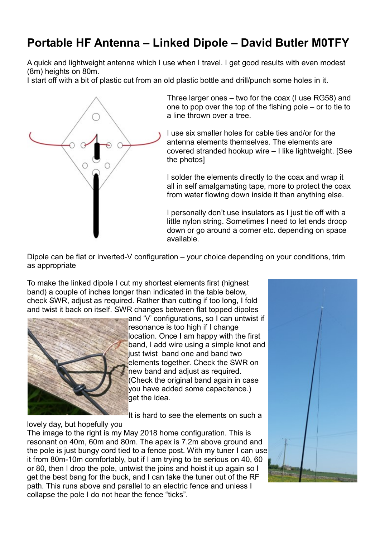# Portable HF Antenna – Linked Dipole – David Butler M0TFY

A quick and lightweight antenna which I use when I travel. I get good results with even modest (8m) heights on 80m.

I start off with a bit of plastic cut from an old plastic bottle and drill/punch some holes in it.



Three larger ones – two for the coax (I use RG58) and one to pop over the top of the fishing pole – or to tie to a line thrown over a tree.

I use six smaller holes for cable ties and/or for the antenna elements themselves. The elements are covered stranded hookup wire – I like lightweight. [See the photos]

I solder the elements directly to the coax and wrap it all in self amalgamating tape, more to protect the coax from water flowing down inside it than anything else.

I personally don't use insulators as I just tie off with a little nylon string. Sometimes I need to let ends droop down or go around a corner etc. depending on space available.

Dipole can be flat or inverted-V configuration – your choice depending on your conditions, trim as appropriate

To make the linked dipole I cut my shortest elements first (highest band) a couple of inches longer than indicated in the table below, check SWR, adjust as required. Rather than cutting if too long, I fold and twist it back on itself. SWR changes between flat topped dipoles



and 'V' configurations, so I can untwist if resonance is too high if I change location. Once I am happy with the first band, I add wire using a simple knot and just twist band one and band two elements together. Check the SWR on new band and adjust as required. (Check the original band again in case you have added some capacitance.) aet the idea.

It is hard to see the elements on such a

lovely day, but hopefully you

The image to the right is my May 2018 home configuration. This is resonant on 40m, 60m and 80m. The apex is 7.2m above ground and the pole is just bungy cord tied to a fence post. With my tuner I can use it from 80m-10m comfortably, but if I am trying to be serious on 40, 60 or 80, then I drop the pole, untwist the joins and hoist it up again so I get the best bang for the buck, and I can take the tuner out of the RF path. This runs above and parallel to an electric fence and unless I collapse the pole I do not hear the fence "ticks".

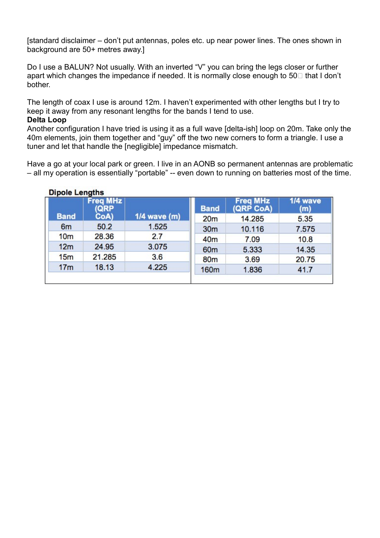[standard disclaimer – don't put antennas, poles etc. up near power lines. The ones shown in background are 50+ metres away.]

Do I use a BALUN? Not usually. With an inverted "V" you can bring the legs closer or further apart which changes the impedance if needed. It is normally close enough to  $50\text{ T}$  that I don't bother.

The length of coax I use is around 12m. I haven't experimented with other lengths but I try to keep it away from any resonant lengths for the bands I tend to use.

#### Delta Loop

Another configuration I have tried is using it as a full wave [delta-ish] loop on 20m. Take only the 40m elements, join them together and "guy" off the two new corners to form a triangle. I use a tuner and let that handle the [negligible] impedance mismatch.

Have a go at your local park or green. I live in an AONB so permanent antennas are problematic – all my operation is essentially "portable" -- even down to running on batteries most of the time.

|                 | <b>Freq MHz</b><br><b>QRP</b> |                  | <b>Band</b>     | Freq MHz<br>(QRP CoA) | 1/4 wave<br>(m) |
|-----------------|-------------------------------|------------------|-----------------|-----------------------|-----------------|
| <b>Band</b>     | CoA)                          | $1/4$ wave $(m)$ | 20 <sub>m</sub> | 14.285                | 5.35            |
| 6 <sub>m</sub>  | 50.2                          | 1.525            | 30 <sub>m</sub> | 10.116                | 7.575           |
| 10 <sub>m</sub> | 28.36                         | 2.7              | 40 <sub>m</sub> | 7.09                  | 10.8            |
| 12m             | 24.95                         | 3.075            | 60 <sub>m</sub> | 5.333                 | 14.35           |
| 15m             | 21.285                        | 3.6              | 80m             | 3.69                  | 20.75           |
| 17 <sub>m</sub> | 18.13                         | 4.225            | <b>160m</b>     | 1.836                 | 41.7            |

#### Dipole Lengths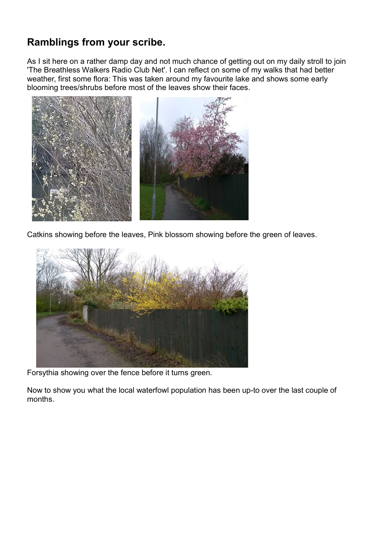## Ramblings from your scribe.

As I sit here on a rather damp day and not much chance of getting out on my daily stroll to join 'The Breathless Walkers Radio Club Net'. I can reflect on some of my walks that had better weather, first some flora: This was taken around my favourite lake and shows some early blooming trees/shrubs before most of the leaves show their faces.



Catkins showing before the leaves, Pink blossom showing before the green of leaves.



Forsythia showing over the fence before it turns green.

Now to show you what the local waterfowl population has been up-to over the last couple of months.